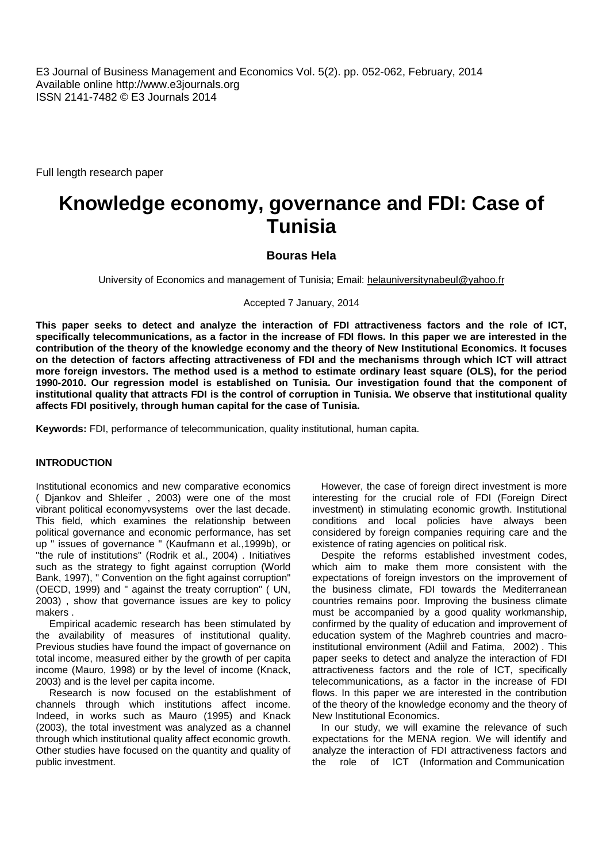E3 Journal of Business Management and Economics Vol. 5(2). pp. 052-062, February, 2014 Available online http://www.e3journals.org ISSN 2141-7482 © E3 Journals 2014

Full length research paper

# **Knowledge economy, governance and FDI: Case of Tunisia**

**Bouras Hela**

University of Economics and management of Tunisia; Email: helauniversitynabeul@yahoo.fr

Accepted 7 January, 2014

**This paper seeks to detect and analyze the interaction of FDI attractiveness factors and the role of ICT, specifically telecommunications, as a factor in the increase of FDI flows. In this paper we are interested in the contribution of the theory of the knowledge economy and the theory of New Institutional Economics. It focuses on the detection of factors affecting attractiveness of FDI and the mechanisms through which ICT will attract more foreign investors. The method used is a method to estimate ordinary least square (OLS), for the period 1990-2010. Our regression model is established on Tunisia. Our investigation found that the component of institutional quality that attracts FDI is the control of corruption in Tunisia. We observe that institutional quality affects FDI positively, through human capital for the case of Tunisia.**

**Keywords:** FDI, performance of telecommunication, quality institutional, human capita.

#### **INTRODUCTION**

Institutional economics and new comparative economics ( Djankov and Shleifer , 2003) were one of the most vibrant political economyvsystems over the last decade. This field, which examines the relationship between political governance and economic performance, has set up " issues of governance " (Kaufmann et al.,1999b), or "the rule of institutions" (Rodrik et al., 2004) . Initiatives such as the strategy to fight against corruption (World Bank, 1997), " Convention on the fight against corruption" (OECD, 1999) and " against the treaty corruption" ( UN, 2003) , show that governance issues are key to policy makers .

Empirical academic research has been stimulated by the availability of measures of institutional quality. Previous studies have found the impact of governance on total income, measured either by the growth of per capita income (Mauro, 1998) or by the level of income (Knack, 2003) and is the level per capita income.

Research is now focused on the establishment of channels through which institutions affect income. Indeed, in works such as Mauro (1995) and Knack (2003), the total investment was analyzed as a channel through which institutional quality affect economic growth. Other studies have focused on the quantity and quality of public investment.

However, the case of foreign direct investment is more interesting for the crucial role of FDI (Foreign Direct investment) in stimulating economic growth. Institutional conditions and local policies have always been considered by foreign companies requiring care and the existence of rating agencies on political risk.

Despite the reforms established investment codes, which aim to make them more consistent with the expectations of foreign investors on the improvement of the business climate, FDI towards the Mediterranean countries remains poor. Improving the business climate must be accompanied by a good quality workmanship, confirmed by the quality of education and improvement of education system of the Maghreb countries and macroinstitutional environment (Adiil and Fatima, 2002) . This paper seeks to detect and analyze the interaction of FDI attractiveness factors and the role of ICT, specifically telecommunications, as a factor in the increase of FDI flows. In this paper we are interested in the contribution of the theory of the knowledge economy and the theory of New Institutional Economics.

In our study, we will examine the relevance of such expectations for the MENA region. We will identify and analyze the interaction of FDI attractiveness factors and the role of ICT (Information and Communication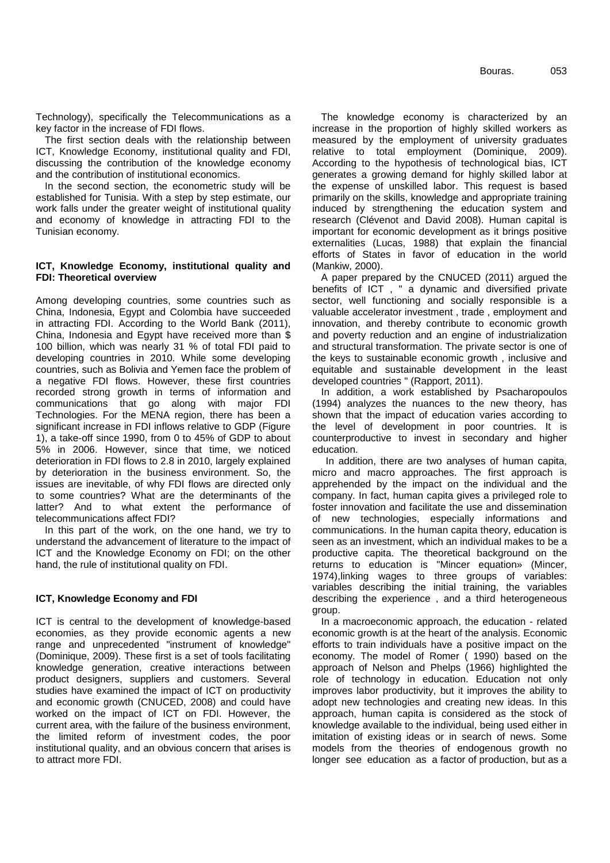Technology), specifically the Telecommunications as a key factor in the increase of FDI flows.

The first section deals with the relationship between ICT, Knowledge Economy, institutional quality and FDI, discussing the contribution of the knowledge economy and the contribution of institutional economics.

In the second section, the econometric study will be established for Tunisia. With a step by step estimate, our work falls under the greater weight of institutional quality and economy of knowledge in attracting FDI to the Tunisian economy.

#### **ICT, Knowledge Economy, institutional quality and FDI: Theoretical overview**

Among developing countries, some countries such as China, Indonesia, Egypt and Colombia have succeeded in attracting FDI. According to the World Bank (2011), China, Indonesia and Egypt have received more than \$ 100 billion, which was nearly 31 % of total FDI paid to developing countries in 2010. While some developing countries, such as Bolivia and Yemen face the problem of a negative FDI flows. However, these first countries recorded strong growth in terms of information and communications that go along with major FDI Technologies. For the MENA region, there has been a significant increase in FDI inflows relative to GDP (Figure 1), a take-off since 1990, from 0 to 45% of GDP to about 5% in 2006. However, since that time, we noticed deterioration in FDI flows to 2.8 in 2010, largely explained by deterioration in the business environment. So, the issues are inevitable, of why FDI flows are directed only to some countries? What are the determinants of the latter? And to what extent the performance of telecommunications affect FDI?

In this part of the work, on the one hand, we try to understand the advancement of literature to the impact of ICT and the Knowledge Economy on FDI; on the other hand, the rule of institutional quality on FDI.

#### **ICT, Knowledge Economy and FDI**

ICT is central to the development of knowledge-based economies, as they provide economic agents a new range and unprecedented "instrument of knowledge" (Dominique, 2009). These first is a set of tools facilitating knowledge generation, creative interactions between product designers, suppliers and customers. Several studies have examined the impact of ICT on productivity and economic growth (CNUCED, 2008) and could have worked on the impact of ICT on FDI. However, the current area, with the failure of the business environment, the limited reform of investment codes, the poor institutional quality, and an obvious concern that arises is to attract more FDI.

The knowledge economy is characterized by an increase in the proportion of highly skilled workers as measured by the employment of university graduates relative to total employment (Dominique, 2009). According to the hypothesis of technological bias, ICT generates a growing demand for highly skilled labor at the expense of unskilled labor. This request is based primarily on the skills, knowledge and appropriate training induced by strengthening the education system and research (Clévenot and David 2008). Human capital is important for economic development as it brings positive externalities (Lucas, 1988) that explain the financial efforts of States in favor of education in the world (Mankiw, 2000).

A paper prepared by the CNUCED (2011) argued the benefits of ICT , " a dynamic and diversified private sector, well functioning and socially responsible is a valuable accelerator investment , trade , employment and innovation, and thereby contribute to economic growth and poverty reduction and an engine of industrialization and structural transformation. The private sector is one of the keys to sustainable economic growth , inclusive and equitable and sustainable development in the least developed countries " (Rapport, 2011).

In addition, a work established by Psacharopoulos (1994) analyzes the nuances to the new theory, has shown that the impact of education varies according to the level of development in poor countries. It is counterproductive to invest in secondary and higher education.

In addition, there are two analyses of human capita, micro and macro approaches. The first approach is apprehended by the impact on the individual and the company. In fact, human capita gives a privileged role to foster innovation and facilitate the use and dissemination of new technologies, especially informations and communications. In the human capita theory, education is seen as an investment, which an individual makes to be a productive capita. The theoretical background on the returns to education is "Mincer equation» (Mincer, 1974),linking wages to three groups of variables: variables describing the initial training, the variables describing the experience , and a third heterogeneous group.

In a macroeconomic approach, the education - related economic growth is at the heart of the analysis. Economic efforts to train individuals have a positive impact on the economy. The model of Romer ( 1990) based on the approach of Nelson and Phelps (1966) highlighted the role of technology in education. Education not only improves labor productivity, but it improves the ability to adopt new technologies and creating new ideas. In this approach, human capita is considered as the stock of knowledge available to the individual, being used either in imitation of existing ideas or in search of news. Some models from the theories of endogenous growth no longer see education as a factor of production, but as a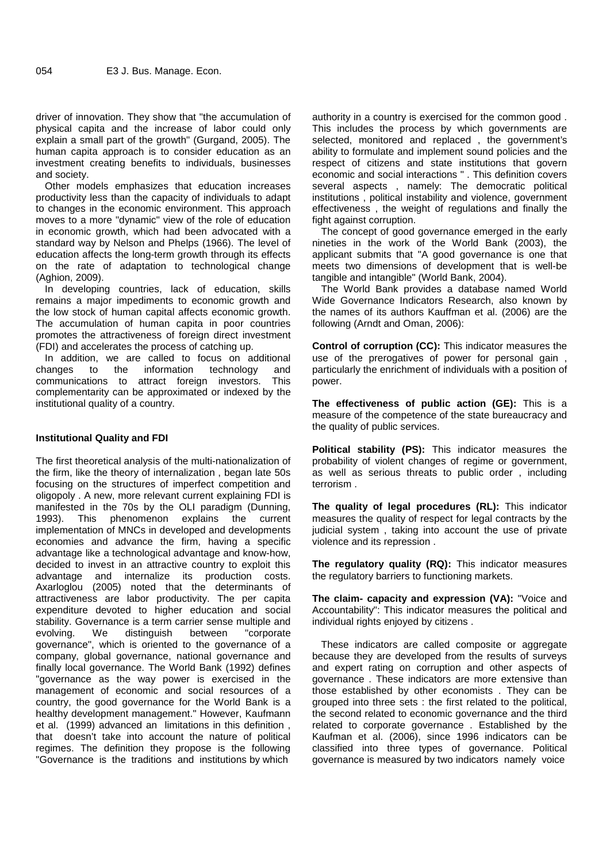driver of innovation. They show that "the accumulation of physical capita and the increase of labor could only explain a small part of the growth" (Gurgand, 2005). The human capita approach is to consider education as an investment creating benefits to individuals, businesses and society.

Other models emphasizes that education increases productivity less than the capacity of individuals to adapt to changes in the economic environment. This approach moves to a more "dynamic" view of the role of education in economic growth, which had been advocated with a standard way by Nelson and Phelps (1966). The level of education affects the long-term growth through its effects on the rate of adaptation to technological change (Aghion, 2009).

In developing countries, lack of education, skills remains a major impediments to economic growth and the low stock of human capital affects economic growth. The accumulation of human capita in poor countries promotes the attractiveness of foreign direct investment (FDI) and accelerates the process of catching up.

In addition, we are called to focus on additional<br>nanges to the information technology and changes to the information technology and communications to attract foreign investors. This complementarity can be approximated or indexed by the institutional quality of a country.

#### **Institutional Quality and FDI**

The first theoretical analysis of the multi-nationalization of the firm, like the theory of internalization , began late 50s focusing on the structures of imperfect competition and oligopoly . A new, more relevant current explaining FDI is manifested in the 70s by the OLI paradigm (Dunning, 1993). This phenomenon explains the current implementation of MNCs in developed and developments economies and advance the firm, having a specific advantage like a technological advantage and know-how, decided to invest in an attractive country to exploit this advantage and internalize its production costs. Axarloglou (2005) noted that the determinants of attractiveness are labor productivity. The per capita expenditure devoted to higher education and social stability. Governance is a term carrier sense multiple and<br>evolving. We distinguish between "corporate evolving. We distinguish between governance", which is oriented to the governance of a company, global governance, national governance and finally local governance. The World Bank (1992) defines "governance as the way power is exercised in the management of economic and social resources of a country, the good governance for the World Bank is a healthy development management." However, Kaufmann et al. (1999) advanced an limitations in this definition , that doesn't take into account the nature of political regimes. The definition they propose is the following "Governance is the traditions and institutions by which

authority in a country is exercised for the common good . This includes the process by which governments are selected, monitored and replaced , the government's ability to formulate and implement sound policies and the respect of citizens and state institutions that govern economic and social interactions " . This definition covers several aspects , namely: The democratic political institutions , political instability and violence, government effectiveness , the weight of regulations and finally the fight against corruption.

The concept of good governance emerged in the early nineties in the work of the World Bank (2003), the applicant submits that "A good governance is one that meets two dimensions of development that is well-be tangible and intangible" (World Bank, 2004).

The World Bank provides a database named World Wide Governance Indicators Research, also known by the names of its authors Kauffman et al. (2006) are the following (Arndt and Oman, 2006):

**Control of corruption (CC):** This indicator measures the use of the prerogatives of power for personal gain particularly the enrichment of individuals with a position of power.

**The effectiveness of public action (GE):** This is a measure of the competence of the state bureaucracy and the quality of public services.

**Political stability (PS):** This indicator measures the probability of violent changes of regime or government, as well as serious threats to public order , including terrorism .

**The quality of legal procedures (RL):** This indicator measures the quality of respect for legal contracts by the judicial system , taking into account the use of private violence and its repression .

**The regulatory quality (RQ):** This indicator measures the regulatory barriers to functioning markets.

**The claim- capacity and expression (VA):** "Voice and Accountability": This indicator measures the political and individual rights enjoyed by citizens .

These indicators are called composite or aggregate because they are developed from the results of surveys and expert rating on corruption and other aspects of governance . These indicators are more extensive than those established by other economists . They can be grouped into three sets : the first related to the political, the second related to economic governance and the third related to corporate governance . Established by the Kaufman et al. (2006), since 1996 indicators can be classified into three types of governance. Political governance is measured by two indicators namely voice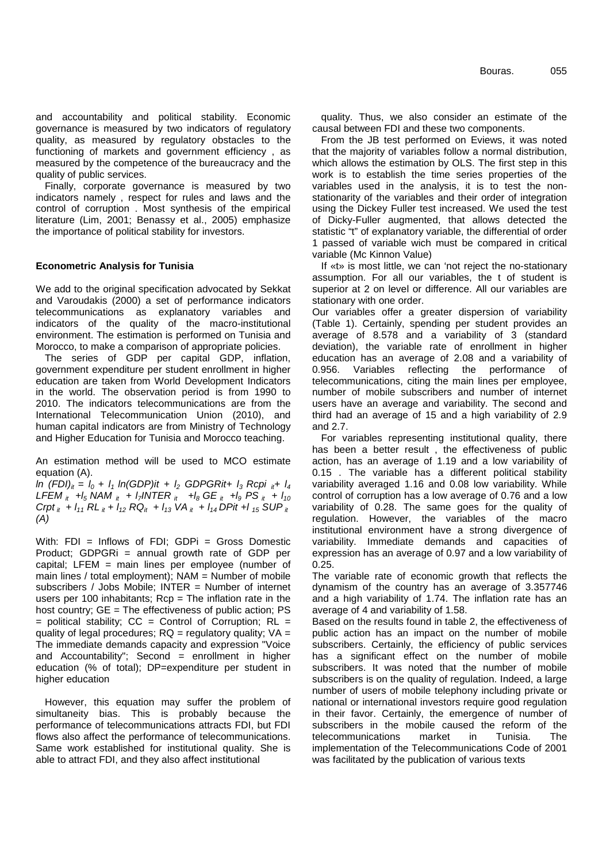and accountability and political stability. Economic governance is measured by two indicators of regulatory quality, as measured by regulatory obstacles to the functioning of markets and government efficiency , as measured by the competence of the bureaucracy and the quality of public services.

Finally, corporate governance is measured by two indicators namely , respect for rules and laws and the control of corruption . Most synthesis of the empirical literature (Lim, 2001; Benassy et al., 2005) emphasize the importance of political stability for investors.

#### **Econometric Analysis for Tunisia**

We add to the original specification advocated by Sekkat and Varoudakis (2000) a set of performance indicators telecommunications as explanatory variables and indicators of the quality of the macro-institutional environment. The estimation is performed on Tunisia and Morocco, to make a comparison of appropriate policies.

The series of GDP per capital GDP, inflation, government expenditure per student enrollment in higher education are taken from World Development Indicators in the world. The observation period is from 1990 to 2010. The indicators telecommunications are from the International Telecommunication Union (2010), and human capital indicators are from Ministry of Technology and Higher Education for Tunisia and Morocco teaching.

An estimation method will be used to MCO estimate equation (A).

*ln (FDI)it = l<sup>0</sup> + l<sup>1</sup> ln(GDP)it + l<sup>2</sup> GDPGRit+ l<sup>3</sup> Rcpi it+ l<sup>4</sup> LFEM*  $_{it}$  +*l<sub>5</sub> NAM*  $_{it}$  + *l<sub>7</sub>INTER*  $_{it}$  + *l<sub>8</sub> GE*  $_{it}$  + *l<sub>9</sub> PS*  $_{it}$  + *l<sub>10</sub>*  $C$ rpt<sub>it</sub></sup> +  $I_{11}$   $RL$ <sub>it</sub> +  $I_{12}$   $RQ$ <sub>it</sub> +  $I_{13}$   $VA$ <sub>it</sub> +  $I_{14}$   $DP$ it + $I_{15}$   $SUP$ <sub>it</sub> *(A)*

With: FDI = Inflows of FDI; GDPi = Gross Domestic Product; GDPGRi = annual growth rate of GDP per capital; LFEM = main lines per employee (number of main lines / total employment); NAM = Number of mobile subscribers / Jobs Mobile; INTER = Number of internet users per 100 inhabitants;  $Rep = The$  inflation rate in the host country; GE = The effectiveness of public action; PS  $=$  political stability; CC  $=$  Control of Corruption; RL  $=$ quality of legal procedures;  $RQ =$  regulatory quality;  $VA =$ The immediate demands capacity and expression "Voice and Accountability"; Second  $=$  enrollment in higher education (% of total); DP=expenditure per student in higher education

However, this equation may suffer the problem of simultaneity bias. This is probably because the performance of telecommunications attracts FDI, but FDI flows also affect the performance of telecommunications. Same work established for institutional quality. She is able to attract FDI, and they also affect institutional

quality. Thus, we also consider an estimate of the causal between FDI and these two components.

From the JB test performed on Eviews, it was noted that the majority of variables follow a normal distribution, which allows the estimation by OLS. The first step in this work is to establish the time series properties of the variables used in the analysis, it is to test the non stationarity of the variables and their order of integration using the Dickey Fuller test increased. We used the test of Dicky-Fuller augmented, that allows detected the statistic "t" of explanatory variable, the differential of order 1 passed of variable wich must be compared in critical variable (Mc Kinnon Value)

If «t» is most little, we can 'not reject the no-stationary assumption. For all our variables, the t of student is superior at 2 on level or difference. All our variables are stationary with one order.

Our variables offer a greater dispersion of variability (Table 1). Certainly, spending per student provides an average of 8.578 and a variability of 3 (standard deviation), the variable rate of enrollment in higher education has an average of 2.08 and a variability of Variables reflecting the performance of telecommunications, citing the main lines per employee, number of mobile subscribers and number of internet users have an average and variability. The second and third had an average of 15 and a high variability of 2.9 and 2.7.

For variables representing institutional quality, there has been a better result , the effectiveness of public action, has an average of 1.19 and a low variability of 0.15 . The variable has a different political stability variability averaged 1.16 and 0.08 low variability. While control of corruption has a low average of 0.76 and a low variability of 0.28. The same goes for the quality of regulation. However, the variables of the macro institutional environment have a strong divergence of variability. Immediate demands and capacities of expression has an average of 0.97 and a low variability of 0.25.

The variable rate of economic growth that reflects the dynamism of the country has an average of 3.357746 and a high variability of 1.74. The inflation rate has an average of 4 and variability of 1.58.

Based on the results found in table 2, the effectiveness of public action has an impact on the number of mobile subscribers. Certainly, the efficiency of public services has a significant effect on the number of mobile subscribers. It was noted that the number of mobile subscribers is on the quality of regulation. Indeed, a large number of users of mobile telephony including private or national or international investors require good regulation in their favor. Certainly, the emergence of number of subscribers in the mobile caused the reform of the telecommunications market in Tunisia. The implementation of the Telecommunications Code of 2001 was facilitated by the publication of various texts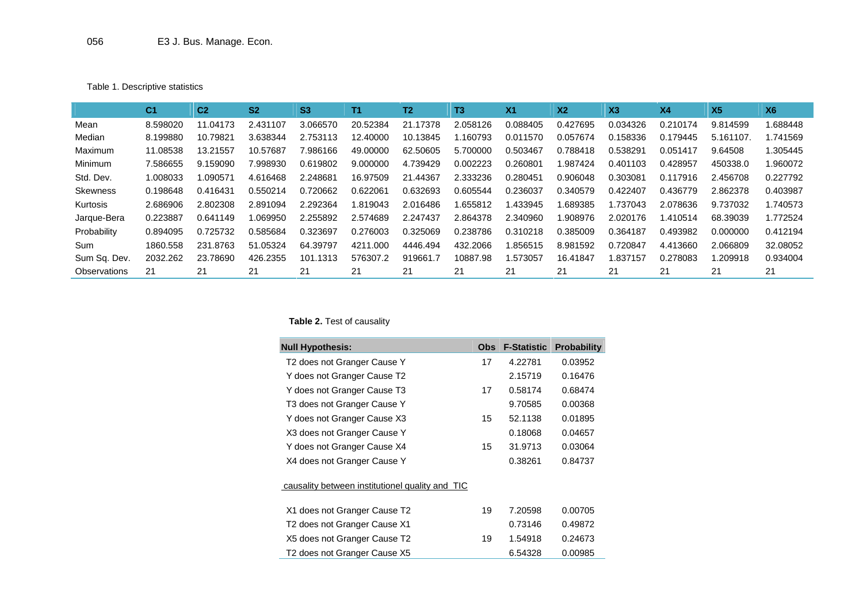Table 1. Descriptive statistics

|                     | C <sub>1</sub> | C <sub>2</sub> | S <sub>2</sub> | S <sub>3</sub> | T1       | T2       | T3       | X <sub>1</sub> | X <sub>2</sub> | X <sub>3</sub> | X <sub>4</sub> | X <sub>5</sub> | X <sub>6</sub> |
|---------------------|----------------|----------------|----------------|----------------|----------|----------|----------|----------------|----------------|----------------|----------------|----------------|----------------|
| Mean                | 8.598020       | 11.04173       | 2.431107       | 3.066570       | 20.52384 | 21.17378 | 2.058126 | 0.088405       | 0.427695       | 0.034326       | 0.210174       | 9.814599       | .688448        |
| Median              | 8.199880       | 10.79821       | 3.638344       | 2.753113       | 12.40000 | 10.13845 | .160793  | 0.011570       | 0.057674       | 0.158336       | 0.179445       | 5.161107       | 1.741569       |
| Maximum             | 11.08538       | 13.21557       | 10.57687       | 986166         | 49,00000 | 62.50605 | 5.700000 | 0.503467       | 0.788418       | 0.538291       | 0.051417       | 9.64508        | 1.305445       |
| Minimum             | 7.586655       | 9.159090       | 7.998930       | 0.619802       | 9.000000 | 4.739429 | 0.002223 | 0.260801       | .987424        | 0.401103       | 0.428957       | 450338.0       | 960072         |
| Std. Dev.           | 1.008033       | .090571        | 4.616468       | 2.248681       | 16.97509 | 21.44367 | 2.333236 | 0.280451       | 0.906048       | 0.303081       | 0.117916       | 2.456708       | 0.227792       |
| Skewness            | 0.198648       | 0.416431       | 0.550214       | 0.720662       | 0.622061 | 0.632693 | 0.605544 | 0.236037       | 0.340579       | 0.422407       | 0.436779       | 2.862378       | 0.403987       |
| Kurtosis            | 2.686906       | 2.802308       | 2.891094       | 2.292364       | 1.819043 | 2.016486 | .655812  | .433945        | 1.689385       | 1.737043       | 2.078636       | 9.737032       | .740573        |
| Jarque-Bera         | 0.223887       | 0.641149       | .069950        | 2.255892       | 2.574689 | 2.247437 | 2.864378 | 2.340960       | 908976         | 2.020176       | 1.410514       | 68.39039       | 1.772524       |
| Probability         | 0.894095       | 0.725732       | 0.585684       | 0.323697       | 0.276003 | 0.325069 | 0.238786 | 0.310218       | 0.385009       | 0.364187       | 0.493982       | 0.000000       | 0.412194       |
| Sum                 | 1860.558       | 231.8763       | 51.05324       | 64.39797       | 4211.000 | 4446.494 | 432.2066 | .856515        | 8.981592       | 0.720847       | 4.413660       | 2.066809       | 32.08052       |
| Sum Sq. Dev.        | 2032.262       | 23.78690       | 426.2355       | 101.1313       | 576307.2 | 919661.7 | 10887.98 | .573057        | 16.41847       | 1.837157       | 0.278083       | 1.209918       | 0.934004       |
| <b>Observations</b> | 21             | 21             | 21             | 21             | 21       | 21       | 21       | 21             | 21             | 21             | 21             | 21             | 21             |

## **Table 2.** Test of causality

| <b>Null Hypothesis:</b>                         | Obs. | <b>F-Statistic</b> | <b>Probability</b> |
|-------------------------------------------------|------|--------------------|--------------------|
| T2 does not Granger Cause Y                     | 17   | 4.22781            | 0.03952            |
| Y does not Granger Cause T2                     |      | 2.15719            | 0.16476            |
| Y does not Granger Cause T3                     | 17   | 0.58174            | 0.68474            |
| T3 does not Granger Cause Y                     |      | 9.70585            | 0.00368            |
| Y does not Granger Cause X3                     | 15   | 52.1138            | 0.01895            |
| X3 does not Granger Cause Y                     |      | 0.18068            | 0.04657            |
| Y does not Granger Cause X4                     | 15   | 31.9713            | 0.03064            |
| X4 does not Granger Cause Y                     |      | 0.38261            | 0.84737            |
| causality between institutionel quality and TIC |      |                    |                    |
| X1 does not Granger Cause T2                    | 19   | 7.20598            | 0.00705            |
| T2 does not Granger Cause X1                    |      | 0.73146            | 0.49872            |
| X5 does not Granger Cause T2                    | 19   | 1.54918            | 0.24673            |
| T2 does not Granger Cause X5                    |      | 6.54328            | 0.00985            |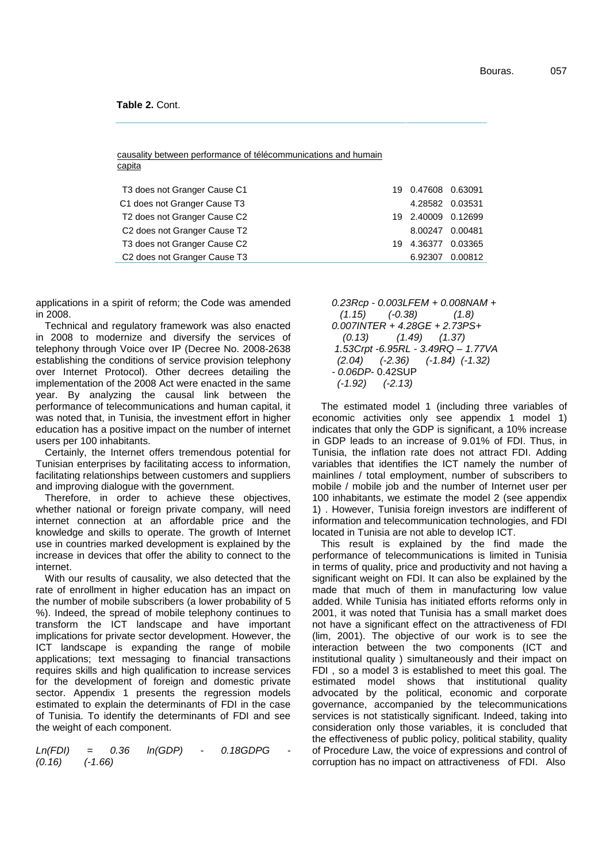#### **Table 2.** Cont.

causality between performance of télécommunications and humain capita

| T3 does not Granger Cause C1                         |    | 19  0.47608  0.63091 |         |
|------------------------------------------------------|----|----------------------|---------|
| C1 does not Granger Cause T3                         |    | 4.28582 0.03531      |         |
| T <sub>2</sub> does not Granger Cause C <sub>2</sub> |    | 19 2.40009 0.12699   |         |
| C <sub>2</sub> does not Granger Cause T <sub>2</sub> |    | 8.00247 0.00481      |         |
| T3 does not Granger Cause C2                         | 19 | 4.36377              | 0.03365 |
| C <sub>2</sub> does not Granger Cause T <sub>3</sub> |    | 6.92307              | 0.00812 |

applications in a spirit of reform; the Code was amended in 2008.

Technical and regulatory framework was also enacted in 2008 to modernize and diversify the services of telephony through Voice over IP (Decree No. 2008-2638 establishing the conditions of service provision telephony over Internet Protocol). Other decrees detailing the implementation of the 2008 Act were enacted in the same year. By analyzing the causal link between the performance of telecommunications and human capital, it was noted that, in Tunisia, the investment effort in higher education has a positive impact on the number of internet users per 100 inhabitants.

Certainly, the Internet offers tremendous potential for Tunisian enterprises by facilitating access to information, facilitating relationships between customers and suppliers and improving dialogue with the government.

Therefore, in order to achieve these objectives, whether national or foreign private company, will need internet connection at an affordable price and the knowledge and skills to operate. The growth of Internet use in countries marked development is explained by the increase in devices that offer the ability to connect to the internet.

With our results of causality, we also detected that the rate of enrollment in higher education has an impact on the number of mobile subscribers (a lower probability of 5 %). Indeed, the spread of mobile telephony continues to transform the ICT landscape and have important implications for private sector development. However, the ICT landscape is expanding the range of mobile applications; text messaging to financial transactions requires skills and high qualification to increase services for the development of foreign and domestic private sector. Appendix 1 presents the regression models estimated to explain the determinants of FDI in the case of Tunisia. To identify the determinants of FDI and see the weight of each component.

*Ln(FDI) = 0.36 ln(GDP) - 0.18GDPG - (0.16) (-1.66)*

*0.23Rcp - 0.003LFEM + 0.008NAM + (1.15) (-0.38) (1.8) 0.007INTER + 4.28GE + 2.73PS+ (0.13) (1.49) (1.37) 1.53Crpt -6.95RL - 3.49RQ – 1.77VA (2.04) (-2.36) (-1.84) (-1.32) - 0.06DP*- 0.42SUP *(-1.92) (-2.13)*

The estimated model 1 (including three variables of economic activities only see appendix 1 model 1) indicates that only the GDP is significant, a 10% increase in GDP leads to an increase of 9.01% of FDI. Thus, in Tunisia, the inflation rate does not attract FDI. Adding variables that identifies the ICT namely the number of mainlines / total employment, number of subscribers to mobile / mobile job and the number of Internet user per 100 inhabitants, we estimate the model 2 (see appendix 1) . However, Tunisia foreign investors are indifferent of information and telecommunication technologies, and FDI located in Tunisia are not able to develop ICT.

This result is explained by the find made the performance of telecommunications is limited in Tunisia in terms of quality, price and productivity and not having a significant weight on FDI. It can also be explained by the made that much of them in manufacturing low value added. While Tunisia has initiated efforts reforms only in 2001, it was noted that Tunisia has a small market does not have a significant effect on the attractiveness of FDI (lim, 2001). The objective of our work is to see the interaction between the two components (ICT and institutional quality ) simultaneously and their impact on FDI , so a model 3 is established to meet this goal. The estimated model shows that institutional quality advocated by the political, economic and corporate governance, accompanied by the telecommunications services is not statistically significant. Indeed, taking into consideration only those variables, it is concluded that the effectiveness of public policy, political stability, quality of Procedure Law, the voice of expressions and control of corruption has no impact on attractiveness of FDI. Also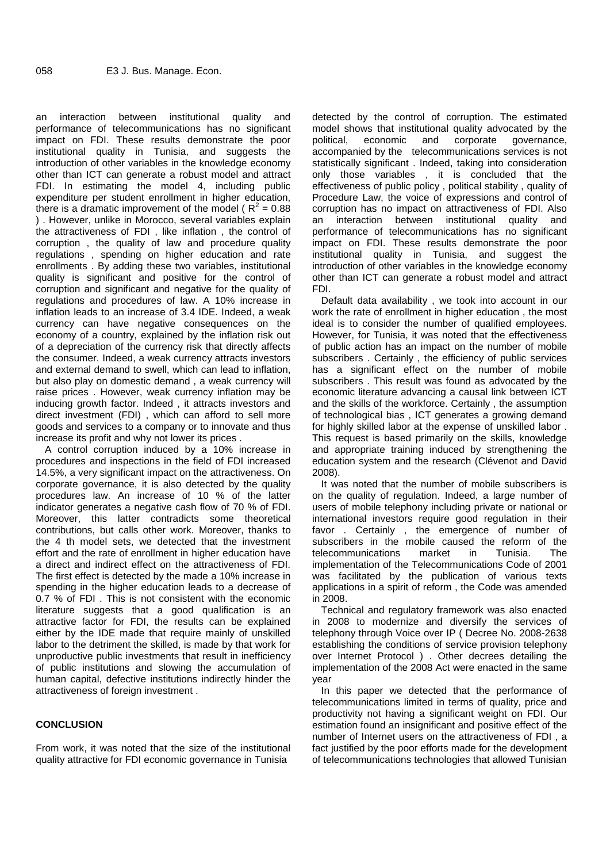an interaction between institutional quality and performance of telecommunications has no significant impact on FDI. These results demonstrate the poor political, institutional quality in Tunisia, and suggests the introduction of other variables in the knowledge economy other than ICT can generate a robust model and attract FDI. In estimating the model 4, including public expenditure per student enrollment in higher education, there is a dramatic improvement of the model ( $R^2 = 0.88$ ) ) . However, unlike in Morocco, several variables explain the attractiveness of FDI , like inflation , the control of corruption , the quality of law and procedure quality regulations , spending on higher education and rate enrollments . By adding these two variables, institutional quality is significant and positive for the control of corruption and significant and negative for the quality of regulations and procedures of law. A 10% increase in inflation leads to an increase of 3.4 IDE. Indeed, a weak currency can have negative consequences on the economy of a country, explained by the inflation risk out of a depreciation of the currency risk that directly affects the consumer. Indeed, a weak currency attracts investors and external demand to swell, which can lead to inflation, but also play on domestic demand , a weak currency will raise prices . However, weak currency inflation may be inducing growth factor. Indeed , it attracts investors and direct investment (FDI) , which can afford to sell more goods and services to a company or to innovate and thus increase its profit and why not lower its prices .

A control corruption induced by a 10% increase in procedures and inspections in the field of FDI increased 14.5%, a very significant impact on the attractiveness. On corporate governance, it is also detected by the quality procedures law. An increase of 10 % of the latter indicator generates a negative cash flow of 70 % of FDI. Moreover, this latter contradicts some theoretical contributions, but calls other work. Moreover, thanks to the 4 th model sets, we detected that the investment effort and the rate of enrollment in higher education have a direct and indirect effect on the attractiveness of FDI. The first effect is detected by the made a 10% increase in spending in the higher education leads to a decrease of 0.7 % of FDI . This is not consistent with the economic literature suggests that a good qualification is an attractive factor for FDI, the results can be explained either by the IDE made that require mainly of unskilled labor to the detriment the skilled, is made by that work for unproductive public investments that result in inefficiency of public institutions and slowing the accumulation of human capital, defective institutions indirectly hinder the attractiveness of foreign investment .

#### **CONCLUSION**

From work, it was noted that the size of the institutional quality attractive for FDI economic governance in Tunisia

detected by the control of corruption. The estimated model shows that institutional quality advocated by the economic and corporate governance, accompanied by the telecommunications services is not statistically significant . Indeed, taking into consideration only those variables , it is concluded that the effectiveness of public policy , political stability , quality of Procedure Law, the voice of expressions and control of corruption has no impact on attractiveness of FDI. Also an interaction between institutional quality and performance of telecommunications has no significant impact on FDI. These results demonstrate the poor institutional quality in Tunisia, and suggest the introduction of other variables in the knowledge economy other than ICT can generate a robust model and attract FDI.

Default data availability , we took into account in our work the rate of enrollment in higher education , the most ideal is to consider the number of qualified employees. However, for Tunisia, it was noted that the effectiveness of public action has an impact on the number of mobile subscribers . Certainly , the efficiency of public services has a significant effect on the number of mobile subscribers . This result was found as advocated by the economic literature advancing a causal link between ICT and the skills of the workforce. Certainly , the assumption of technological bias , ICT generates a growing demand for highly skilled labor at the expense of unskilled labor . This request is based primarily on the skills, knowledge and appropriate training induced by strengthening the education system and the research (Clévenot and David 2008).

It was noted that the number of mobile subscribers is on the quality of regulation. Indeed, a large number of users of mobile telephony including private or national or international investors require good regulation in their favor . Certainly , the emergence of number of subscribers in the mobile caused the reform of the telecommunications market in Tunisia. The implementation of the Telecommunications Code of 2001 was facilitated by the publication of various texts applications in a spirit of reform , the Code was amended in 2008.

Technical and regulatory framework was also enacted in 2008 to modernize and diversify the services of telephony through Voice over IP ( Decree No. 2008-2638 establishing the conditions of service provision telephony over Internet Protocol ) . Other decrees detailing the implementation of the 2008 Act were enacted in the same year

In this paper we detected that the performance of telecommunications limited in terms of quality, price and productivity not having a significant weight on FDI. Our estimation found an insignificant and positive effect of the number of Internet users on the attractiveness of FDI , a fact justified by the poor efforts made for the development of telecommunications technologies that allowed Tunisian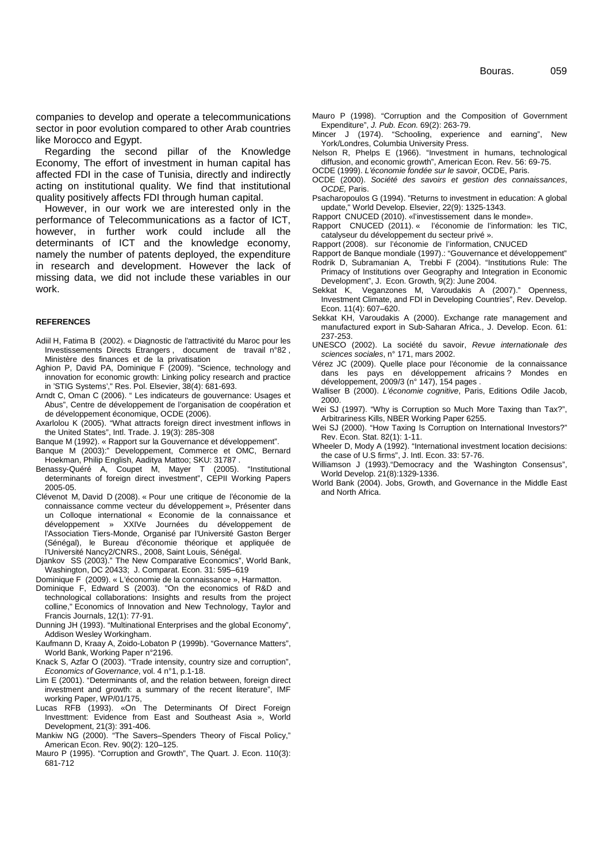companies to develop and operate a telecommunications sector in poor evolution compared to other Arab countries like Morocco and Egypt.

Regarding the second pillar of the Knowledge Economy, The effort of investment in human capital has affected FDI in the case of Tunisia, directly and indirectly acting on institutional quality. We find that institutional quality positively affects FDI through human capital.

However, in our work we are interested only in the performance of Telecommunications as a factor of ICT, however, in further work could include all the determinants of ICT and the knowledge economy, namely the number of patents deployed, the expenditure in research and development. However the lack of missing data, we did not include these variables in our work.

#### **REFERENCES**

- Adiil H, Fatima B (2002). « Diagnostic de l'attractivité du Maroc pour les Investissements Directs Etrangers , document de travail n°82 , Ministère des finances et de la privatisation
- Aghion P, David PA, Dominique F (2009). "Science, technology and innovation for economic growth: Linking policy research and practice in 'STIG Systems'," Res. Pol. Elsevier, 38(4): 681-693.
- Arndt C, Oman C (2006). " Les indicateurs de gouvernance: Usages et Abus", Centre de développement de l'organisation de coopération et de développement économique, OCDE (2006).
- Axarlolou K (2005). "What attracts foreign direct investment inflows in the United States", Intl. Trade. J. 19(3): 285-308

Banque M (1992). « Rapport sur la Gouvernance et développement".

Banque M (2003):" Developpement, Commerce et OMC, Bernard Hoekman, Philip English, Aaditya Mattoo; SKU: 31787 .

- Benassy-Quéré A, Coupet M, Mayer T (2005). determinants of foreign direct investment", CEPII Working Papers 2005-05.
- Clévenot M, David D (2008).« Pour une critique de l'économie de la connaissance comme vecteur du développement », Présenter dans un Colloque international « Economie de la connaissance et développement » XXIVe Journées du développement de l'Association Tiers-Monde, Organisé par l'Université Gaston Berger (Sénégal), le Bureau d'économie théorique et appliquée de l'Université Nancy2/CNRS., 2008, Saint Louis, Sénégal.
- Djankov SS (2003)." The New Comparative Economics", World Bank, Washington, DC 20433; J. Comparat. Econ. 31: 595–619

Dominique F (2009). « L'économie de la connaissance », Harmatton.

- Dominique F, Edward S (2003). "On the economics of R&D and technological collaborations: Insights and results from the project colline," Economics of Innovation and New Technology, Taylor and Francis Journals, 12(1): 77-91.
- Dunning JH (1993). "Multinational Enterprises and the global Economy", Addison Wesley Workingham.
- Kaufmann D, Kraay A, Zoido-Lobaton P (1999b). "Governance Matters", World Bank, Working Paper n°2196.
- Knack S, Azfar O (2003). "Trade intensity, country size and corruption", *Economics of Governance*, vol. 4 n°1, p.1-18.
- Lim E (2001). "Determinants of, and the relation between, foreign direct investment and growth: a summary of the recent literature", IMF working Paper, WP/01/175,
- Lucas RFB (1993). «On The Determinants Of Direct Foreign Investtment: Evidence from East and Southeast Asia », World Development, 21(3): 391-406.
- Mankiw NG (2000). "The Savers–Spenders Theory of Fiscal Policy," American Econ. Rev. 90(2): 120–125.
- Mauro P (1995). "Corruption and Growth", The Quart. J. Econ. 110(3): 681-712
- Mauro P (1998). "Corruption and the Composition of Government Expenditure", *J. Pub. Econ.* 69(2): 263-79.
- Experimence of the Eborn So(2). 200 Forms.<br>Mincer J (1974). "Schooling, experience and earning", New York/Londres, Columbia University Press.
- Nelson R, Phelps E (1966). "Investment in humans, technological diffusion, and economic growth", American Econ. Rev. 56: 69-75.
- OCDE (1999). *L'économie fondée sur le savoir*, OCDE, Paris.
- OCDE (2000). *Société des savoirs et gestion des connaissances*, *OCDE,* Paris.
- Psacharopoulos G (1994). "Returns to investment in education: A global update," World Develop. Elsevier, 22(9): 1325-1343.
- Rapport CNUCED (2010). «l'investissement dans le monde».
- Rapport CNUCED (2011). « l'économie de l'information: les TIC, catalyseur du développement du secteur privé ».
- Rapport (2008). sur l'économie de l'information, CNUCED
- Rapport de Banque mondiale (1997).: "Gouvernance et développement"
- Rodrik D, Subramanian A, Trebbi F (2004). "Institutions Rule: The Primacy of Institutions over Geography and Integration in Economic Development", J. Econ. Growth, 9(2): June 2004.
- Sekkat K, Veganzones M, Varoudakis A (2007)." Openness, Investment Climate, and FDI in Developing Countries", Rev. Develop. Econ. 11(4): 607–620.
- Sekkat KH, Varoudakis A (2000). Exchange rate management and manufactured export in Sub-Saharan Africa., J. Develop. Econ. 61: 237-253.
- UNESCO (2002). La société du savoir, *Revue internationale des sciences sociales*, n° 171, mars 2002.
- Vérez JC (2009). Quelle place pour l'économie de la connaissance dans les pays en développement africains ? Mondes en développement, 2009/3 (n° 147), 154 pages .
- Walliser B (2000). *L'économie cognitive*, Paris, Editions Odile Jacob, 2000.
- Wei SJ (1997). "Why is Corruption so Much More Taxing than Tax?", Arbitrariness Kills, NBER Working Paper 6255.
- Wei SJ (2000). "How Taxing Is Corruption on International Investors?" Rev. Econ. Stat. 82(1): 1-11.
- Wheeler D, Mody A (1992). "International investment location decisions: the case of U.S firms", J. Intl. Econ. 33: 57-76.
- Williamson J (1993)."Democracy and the 'Washington Consensus", World Develop. 21(8):1329-1336.
- World Bank (2004). Jobs, Growth, and Governance in the Middle East and North Africa.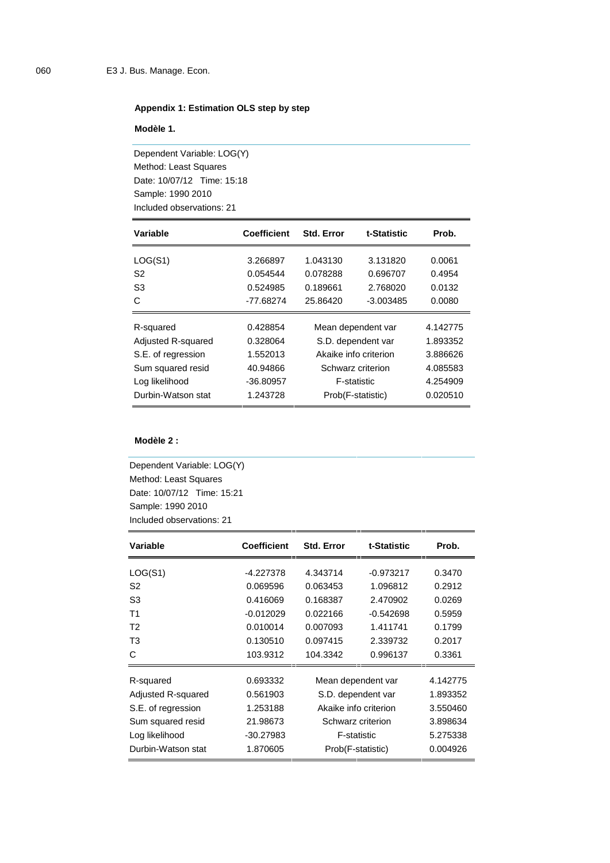## **Appendix 1: Estimation OLS step by step**

**Modèle 1.**

Dependent Variable: LOG(Y) Method: Least Squares Date: 10/07/12 Time: 15:18 Sample: 1990 2010 Included observations: 21

| Variable           | <b>Coefficient</b> | <b>Std. Error</b>     | t-Statistic        | Prob.    |
|--------------------|--------------------|-----------------------|--------------------|----------|
| LOG(S1)            | 3.266897           | 1.043130              | 3.131820           | 0.0061   |
| S <sub>2</sub>     | 0.054544           | 0.078288              | 0.696707           | 0.4954   |
| S <sub>3</sub>     | 0.524985           | 0.189661              | 2.768020           | 0.0132   |
| C                  | $-77.68274$        | 25.86420              | $-3.003485$        | 0.0080   |
| R-squared          | 0.428854           |                       | Mean dependent var | 4.142775 |
| Adjusted R-squared | 0.328064           | S.D. dependent var    |                    | 1.893352 |
| S.E. of regression | 1.552013           | Akaike info criterion |                    | 3.886626 |
| Sum squared resid  | 40.94866           | Schwarz criterion     |                    | 4.085583 |
| Log likelihood     | $-36.80957$        | F-statistic           |                    | 4.254909 |
| Durbin-Watson stat | 1.243728           |                       | Prob(F-statistic)  | 0.020510 |

#### **Modèle 2 :**

Dependent Variable: LOG(Y) Method: Least Squares Date: 10/07/12 Time: 15:21 Sample: 1990 2010 Included observations: 21

| Variable           | <b>Coefficient</b> | <b>Std. Error</b> | t-Statistic           | Prob.    |
|--------------------|--------------------|-------------------|-----------------------|----------|
| LOG(S1)            | $-4.227378$        | 4.343714          | $-0.973217$           | 0.3470   |
| S2                 | 0.069596           | 0.063453          | 1.096812              | 0.2912   |
| S3                 | 0.416069           | 0.168387          | 2.470902              | 0.0269   |
| Τ1                 | $-0.012029$        | 0.022166          | $-0.542698$           | 0.5959   |
| T2                 | 0.010014           | 0.007093          | 1.411741              | 0.1799   |
| T3                 | 0.130510           | 0.097415          | 2.339732              | 0.2017   |
| C                  | 103.9312           | 104.3342          | 0.996137              | 0.3361   |
| R-squared          | 0.693332           |                   | Mean dependent var    | 4.142775 |
| Adjusted R-squared | 0.561903           |                   | S.D. dependent var    | 1.893352 |
| S.E. of regression | 1.253188           |                   | Akaike info criterion | 3.550460 |
| Sum squared resid  | 21.98673           | Schwarz criterion |                       | 3.898634 |
| Log likelihood     | $-30.27983$        |                   | <b>F-statistic</b>    | 5.275338 |
| Durbin-Watson stat | 1.870605           |                   | Prob(F-statistic)     | 0.004926 |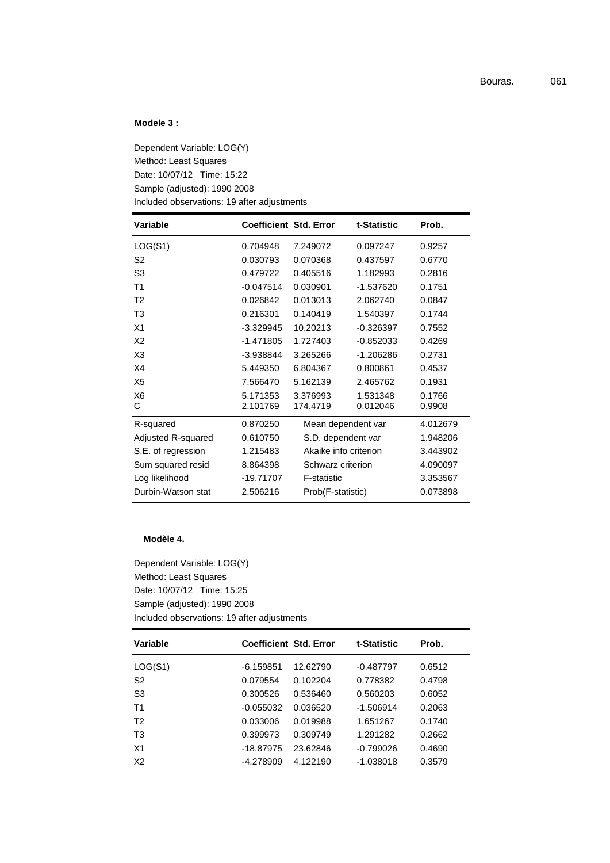#### **Modele 3 :**

Dependent Variable: LOG(Y) Method: Least Squares Date: 10/07/12 Time: 15:22 Sample (adjusted): 1990 2008 Included observations: 19 after adjustments

| <b>Variable</b>     |                      | <b>Coefficient Std. Error</b> | t-Statistic          | Prob.            |
|---------------------|----------------------|-------------------------------|----------------------|------------------|
| LOG(S1)             | 0.704948             | 7.249072                      | 0.097247             | 0.9257           |
| S2                  | 0.030793             | 0.070368                      | 0.437597             | 0.6770           |
| S <sub>3</sub>      | 0.479722             | 0.405516                      | 1.182993             | 0.2816           |
| Τ1                  | $-0.047514$          | 0.030901                      | -1.537620            | 0.1751           |
| T <sub>2</sub>      | 0.026842             | 0.013013                      | 2.062740             | 0.0847           |
| T3                  | 0.216301             | 0.140419                      | 1.540397             | 0.1744           |
| X1                  | $-3.329945$          | 10.20213                      | $-0.326397$          | 0.7552           |
| X2                  | $-1.471805$          | 1.727403                      | $-0.852033$          | 0.4269           |
| X <sub>3</sub>      | -3.938844            | 3.265266                      | $-1.206286$          | 0.2731           |
| X4                  | 5.449350             | 6.804367                      | 0.800861             | 0.4537           |
| X5                  | 7.566470             | 5.162139                      | 2.465762             | 0.1931           |
| X <sub>6</sub><br>С | 5.171353<br>2.101769 | 3.376993<br>174.4719          | 1.531348<br>0.012046 | 0.1766<br>0.9908 |
| R-squared           | 0.870250             |                               | Mean dependent var   | 4.012679         |
| Adjusted R-squared  | 0.610750             | S.D. dependent var            |                      | 1.948206         |
| S.E. of regression  | 1.215483             | Akaike info criterion         |                      | 3.443902         |
| Sum squared resid   | 8.864398             | Schwarz criterion             |                      | 4.090097         |
| Log likelihood      | -19.71707            | F-statistic                   |                      | 3.353567         |
| Durbin-Watson stat  | 2.506216             | Prob(F-statistic)             |                      | 0.073898         |

#### **Modèle 4.**

Dependent Variable: LOG(Y) Method: Least Squares Date: 10/07/12 Time: 15:25 Sample (adjusted): 1990 2008 Included observations: 19 after adjustments

| Variable       |             | <b>Coefficient Std. Error</b> | t-Statistic | Prob.  |
|----------------|-------------|-------------------------------|-------------|--------|
| LOG(S1)        | $-6.159851$ | 12.62790                      | $-0.487797$ | 0.6512 |
| S <sub>2</sub> | 0.079554    | 0.102204                      | 0.778382    | 0.4798 |
| S <sub>3</sub> | 0.300526    | 0.536460                      | 0.560203    | 0.6052 |
| T <sub>1</sub> | $-0.055032$ | 0.036520                      | $-1.506914$ | 0.2063 |
| T <sub>2</sub> | 0.033006    | 0.019988                      | 1.651267    | 0.1740 |
| T <sub>3</sub> | 0.399973    | 0.309749                      | 1.291282    | 0.2662 |
| X <sub>1</sub> | $-18.87975$ | 23.62846                      | $-0.799026$ | 0.4690 |
| X <sub>2</sub> | -4.278909   | 4.122190                      | $-1.038018$ | 0.3579 |